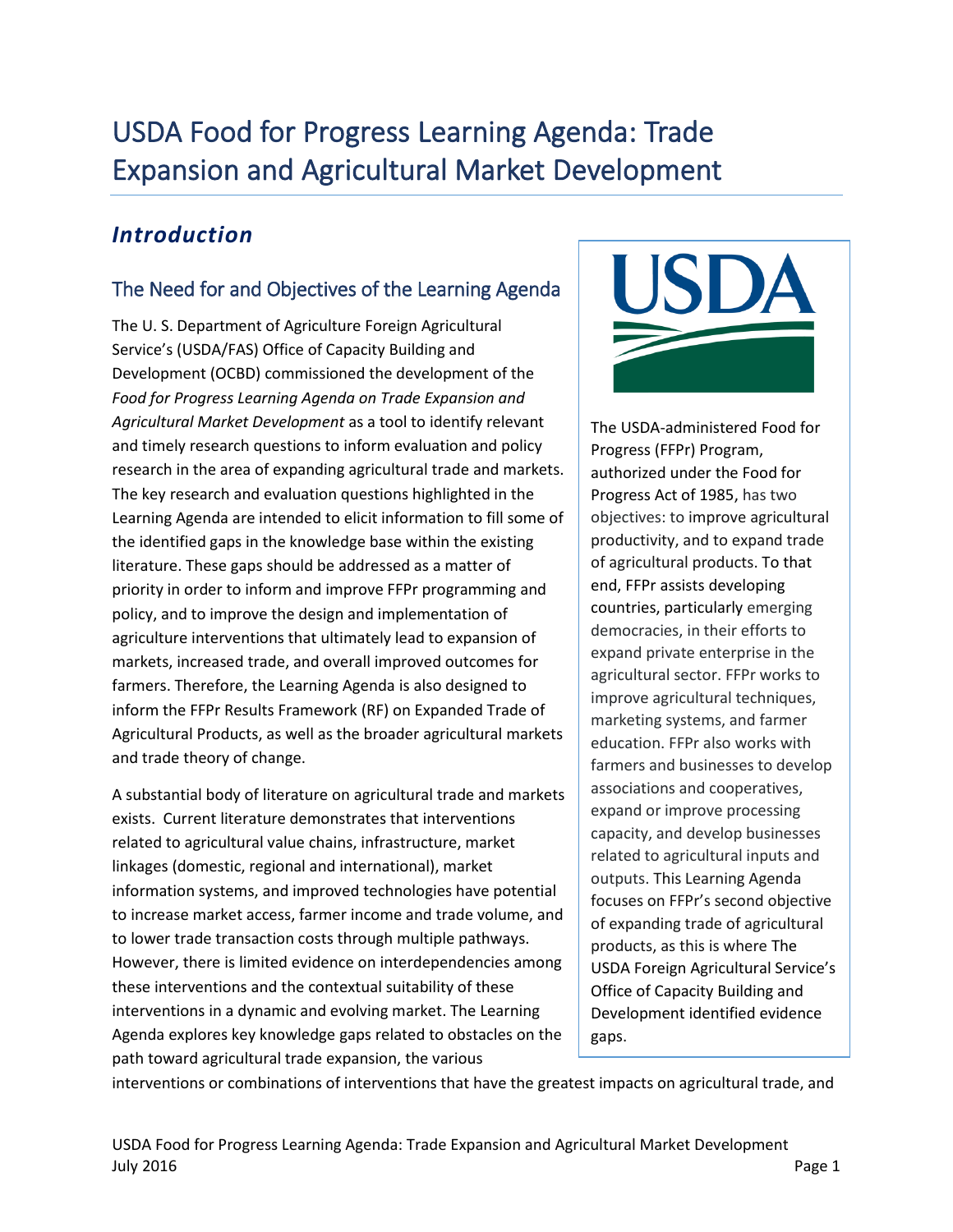# USDA Food for Progress Learning Agenda: Trade Expansion and Agricultural Market Development

# *Introduction*

# The Need for and Objectives of the Learning Agenda

The U. S. Department of Agriculture Foreign Agricultural Service's (USDA/FAS) Office of Capacity Building and Development (OCBD) commissioned the development of the *Food for Progress Learning Agenda on Trade Expansion and Agricultural Market Development* as a tool to identify relevant and timely research questions to inform evaluation and policy research in the area of expanding agricultural trade and markets. The key research and evaluation questions highlighted in the Learning Agenda are intended to elicit information to fill some of the identified gaps in the knowledge base within the existing literature. These gaps should be addressed as a matter of priority in order to inform and improve FFPr programming and policy, and to improve the design and implementation of agriculture interventions that ultimately lead to expansion of markets, increased trade, and overall improved outcomes for farmers. Therefore, the Learning Agenda is also designed to inform the FFPr Results Framework (RF) on Expanded Trade of Agricultural Products, as well as the broader agricultural markets and trade theory of change.

A substantial body of literature on agricultural trade and markets exists. Current literature demonstrates that interventions related to agricultural value chains, infrastructure, market linkages (domestic, regional and international), market information systems, and improved technologies have potential to increase market access, farmer income and trade volume, and to lower trade transaction costs through multiple pathways. However, there is limited evidence on interdependencies among these interventions and the contextual suitability of these interventions in a dynamic and evolving market. The Learning Agenda explores key knowledge gaps related to obstacles on the path toward agricultural trade expansion, the various



The USDA-administered Food for Progress (FFPr) Program, authorized under the Food for Progress Act of 1985, has two objectives: to improve agricultural productivity, and to expand trade of agricultural products. To that end, FFPr assists developing countries, particularly emerging democracies, in their efforts to expand private enterprise in the agricultural sector. FFPr works to improve agricultural techniques, marketing systems, and farmer education. FFPr also works with farmers and businesses to develop associations and cooperatives, expand or improve processing capacity, and develop businesses related to agricultural inputs and outputs. This Learning Agenda focuses on FFPr's second objective of expanding trade of agricultural products, as this is where The USDA Foreign Agricultural Service's Office of Capacity Building and Development identified evidence gaps.

interventions or combinations of interventions that have the greatest impacts on agricultural trade, and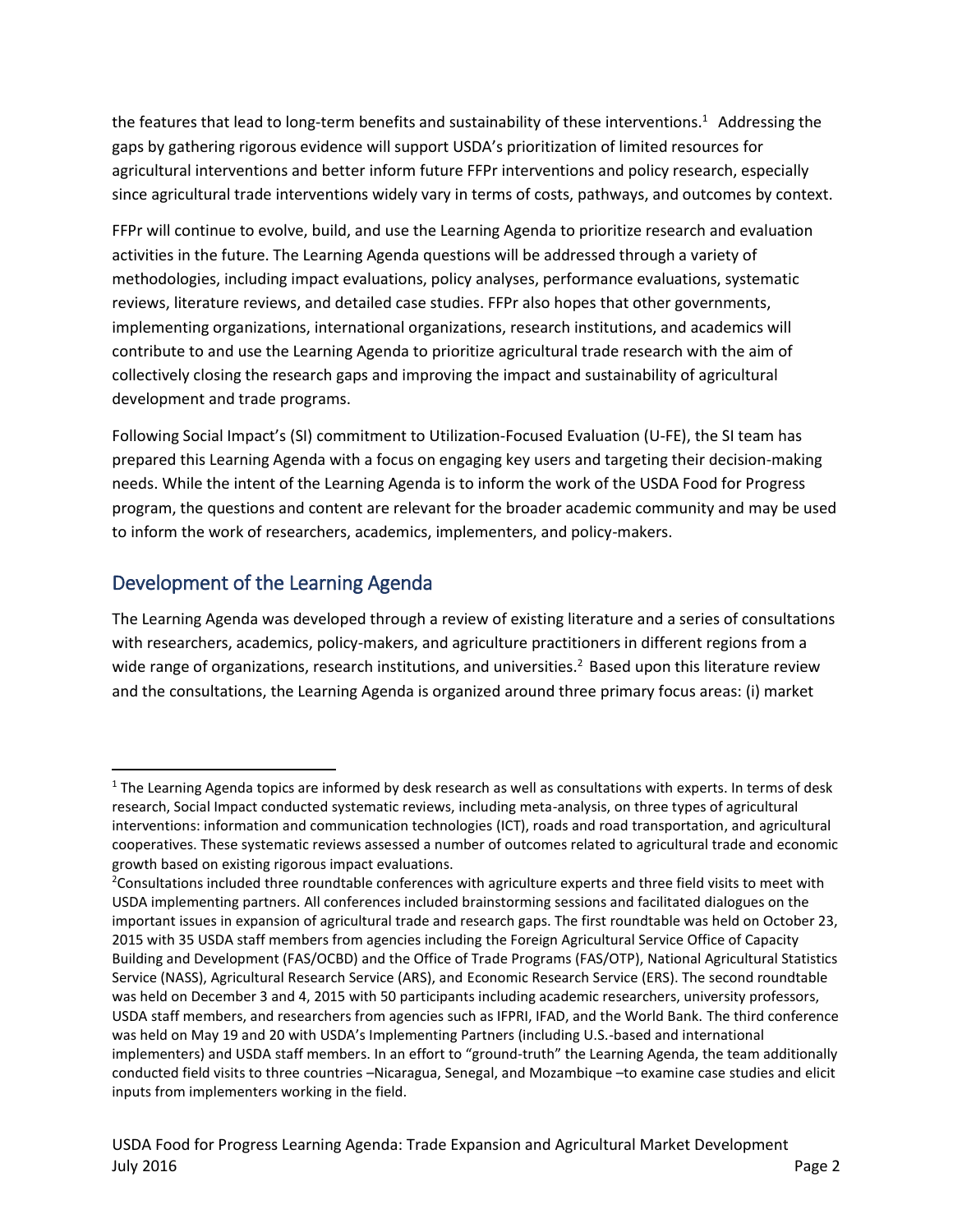the features that lead to long-term benefits and sustainability of these interventions.<sup>1</sup> Addressing the gaps by gathering rigorous evidence will support USDA's prioritization of limited resources for agricultural interventions and better inform future FFPr interventions and policy research, especially since agricultural trade interventions widely vary in terms of costs, pathways, and outcomes by context.

FFPr will continue to evolve, build, and use the Learning Agenda to prioritize research and evaluation activities in the future. The Learning Agenda questions will be addressed through a variety of methodologies, including impact evaluations, policy analyses, performance evaluations, systematic reviews, literature reviews, and detailed case studies. FFPr also hopes that other governments, implementing organizations, international organizations, research institutions, and academics will contribute to and use the Learning Agenda to prioritize agricultural trade research with the aim of collectively closing the research gaps and improving the impact and sustainability of agricultural development and trade programs.

Following Social Impact's (SI) commitment to Utilization-Focused Evaluation (U-FE), the SI team has prepared this Learning Agenda with a focus on engaging key users and targeting their decision-making needs. While the intent of the Learning Agenda is to inform the work of the USDA Food for Progress program, the questions and content are relevant for the broader academic community and may be used to inform the work of researchers, academics, implementers, and policy-makers.

### Development of the Learning Agenda

l

The Learning Agenda was developed through a review of existing literature and a series of consultations with researchers, academics, policy-makers, and agriculture practitioners in different regions from a wide range of organizations, research institutions, and universities.<sup>2</sup> Based upon this literature review and the consultations, the Learning Agenda is organized around three primary focus areas: (i) market

 $1$  The Learning Agenda topics are informed by desk research as well as consultations with experts. In terms of desk research, Social Impact conducted systematic reviews, including meta-analysis, on three types of agricultural interventions: information and communication technologies (ICT), roads and road transportation, and agricultural cooperatives. These systematic reviews assessed a number of outcomes related to agricultural trade and economic growth based on existing rigorous impact evaluations.

<sup>&</sup>lt;sup>2</sup>Consultations included three roundtable conferences with agriculture experts and three field visits to meet with USDA implementing partners. All conferences included brainstorming sessions and facilitated dialogues on the important issues in expansion of agricultural trade and research gaps. The first roundtable was held on October 23, 2015 with 35 USDA staff members from agencies including the Foreign Agricultural Service Office of Capacity Building and Development (FAS/OCBD) and the Office of Trade Programs (FAS/OTP), National Agricultural Statistics Service (NASS), Agricultural Research Service (ARS), and Economic Research Service (ERS). The second roundtable was held on December 3 and 4, 2015 with 50 participants including academic researchers, university professors, USDA staff members, and researchers from agencies such as IFPRI, IFAD, and the World Bank. The third conference was held on May 19 and 20 with USDA's Implementing Partners (including U.S.-based and international implementers) and USDA staff members. In an effort to "ground-truth" the Learning Agenda, the team additionally conducted field visits to three countries –Nicaragua, Senegal, and Mozambique –to examine case studies and elicit inputs from implementers working in the field.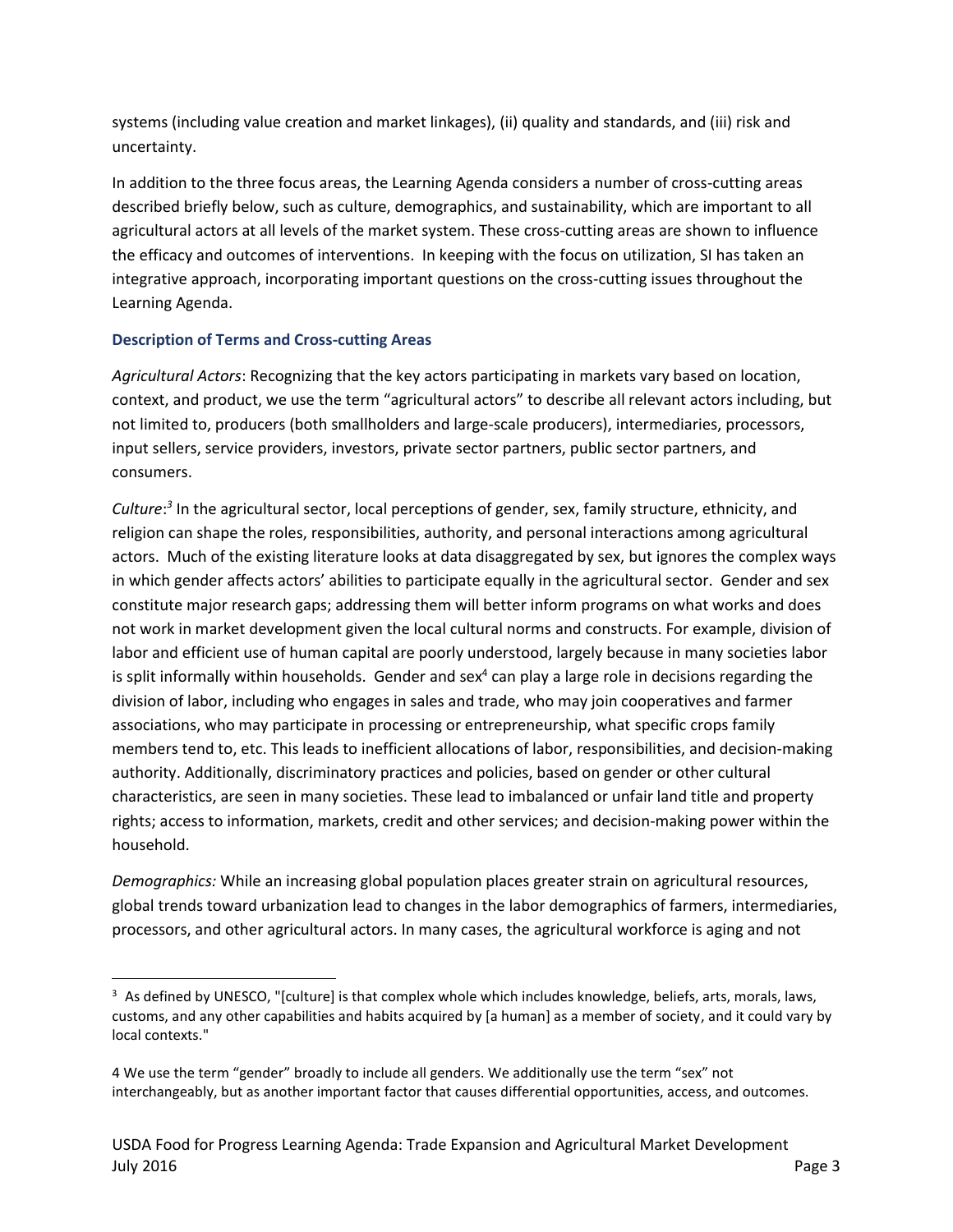systems (including value creation and market linkages), (ii) quality and standards, and (iii) risk and uncertainty.

In addition to the three focus areas, the Learning Agenda considers a number of cross-cutting areas described briefly below, such as culture, demographics, and sustainability, which are important to all agricultural actors at all levels of the market system. These cross-cutting areas are shown to influence the efficacy and outcomes of interventions. In keeping with the focus on utilization, SI has taken an integrative approach, incorporating important questions on the cross-cutting issues throughout the Learning Agenda.

#### **Description of Terms and Cross-cutting Areas**

 $\overline{\phantom{a}}$ 

*Agricultural Actors*: Recognizing that the key actors participating in markets vary based on location, context, and product, we use the term "agricultural actors" to describe all relevant actors including, but not limited to, producers (both smallholders and large-scale producers), intermediaries, processors, input sellers, service providers, investors, private sector partners, public sector partners, and consumers.

*Culture*: *3* In the agricultural sector, local perceptions of gender, sex, family structure, ethnicity, and religion can shape the roles, responsibilities, authority, and personal interactions among agricultural actors. Much of the existing literature looks at data disaggregated by sex, but ignores the complex ways in which gender affects actors' abilities to participate equally in the agricultural sector. Gender and sex constitute major research gaps; addressing them will better inform programs on what works and does not work in market development given the local cultural norms and constructs. For example, division of labor and efficient use of human capital are poorly understood, largely because in many societies labor is split informally within households. Gender and sex<sup>4</sup> can play a large role in decisions regarding the division of labor, including who engages in sales and trade, who may join cooperatives and farmer associations, who may participate in processing or entrepreneurship, what specific crops family members tend to, etc. This leads to inefficient allocations of labor, responsibilities, and decision-making authority. Additionally, discriminatory practices and policies, based on gender or other cultural characteristics, are seen in many societies. These lead to imbalanced or unfair land title and property rights; access to information, markets, credit and other services; and decision-making power within the household.

*Demographics:* While an increasing global population places greater strain on agricultural resources, global trends toward urbanization lead to changes in the labor demographics of farmers, intermediaries, processors, and other agricultural actors. In many cases, the agricultural workforce is aging and not

 $3$  As defined by UNESCO, "[culture] is that complex whole which includes knowledge, beliefs, arts, morals, laws, customs, and any other capabilities and habits acquired by [a human] as a member of society, and it could vary by local contexts."

<sup>4</sup> We use the term "gender" broadly to include all genders. We additionally use the term "sex" not interchangeably, but as another important factor that causes differential opportunities, access, and outcomes.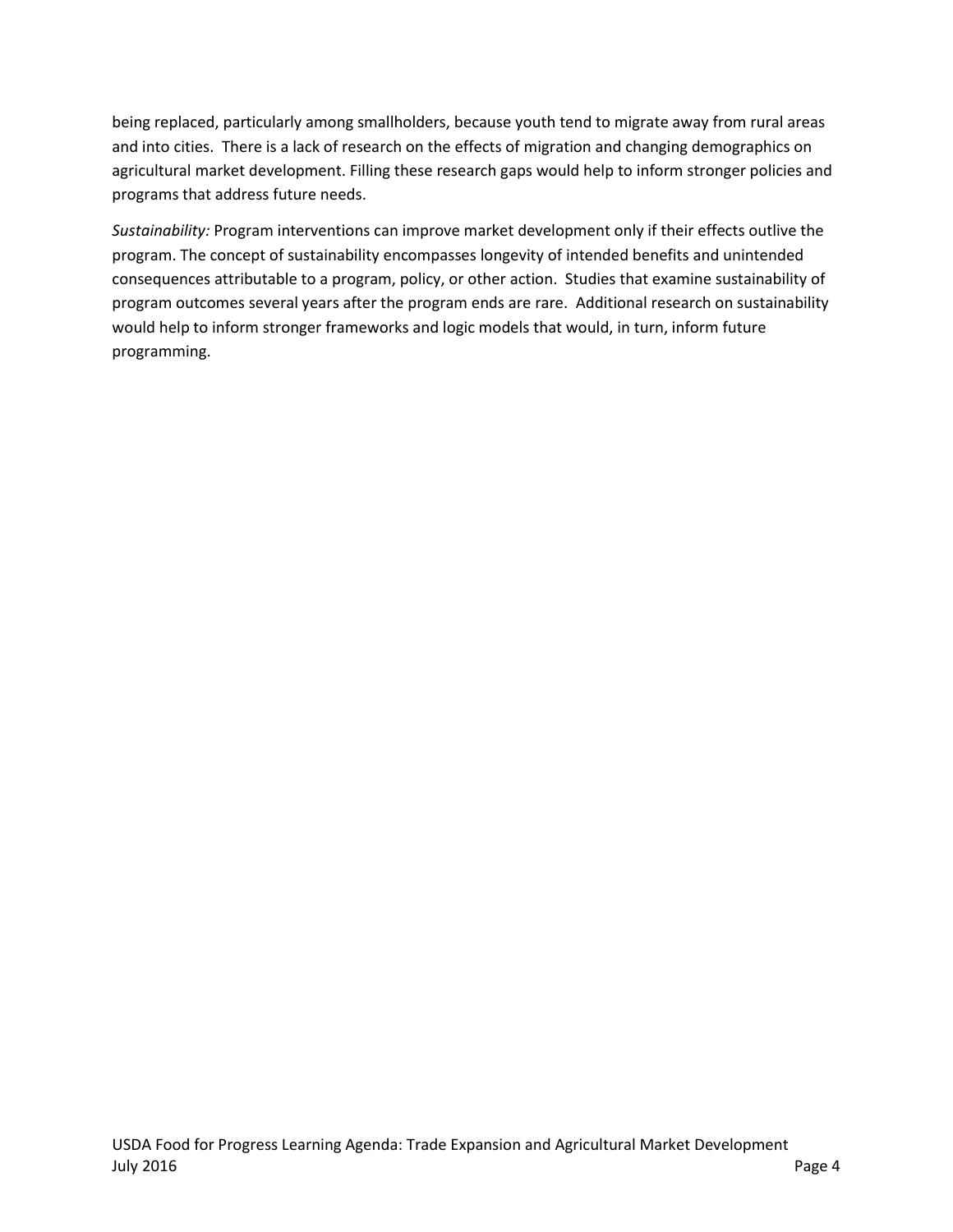being replaced, particularly among smallholders, because youth tend to migrate away from rural areas and into cities. There is a lack of research on the effects of migration and changing demographics on agricultural market development. Filling these research gaps would help to inform stronger policies and programs that address future needs.

*Sustainability:* Program interventions can improve market development only if their effects outlive the program. The concept of sustainability encompasses longevity of intended benefits and unintended consequences attributable to a program, policy, or other action. Studies that examine sustainability of program outcomes several years after the program ends are rare. Additional research on sustainability would help to inform stronger frameworks and logic models that would, in turn, inform future programming.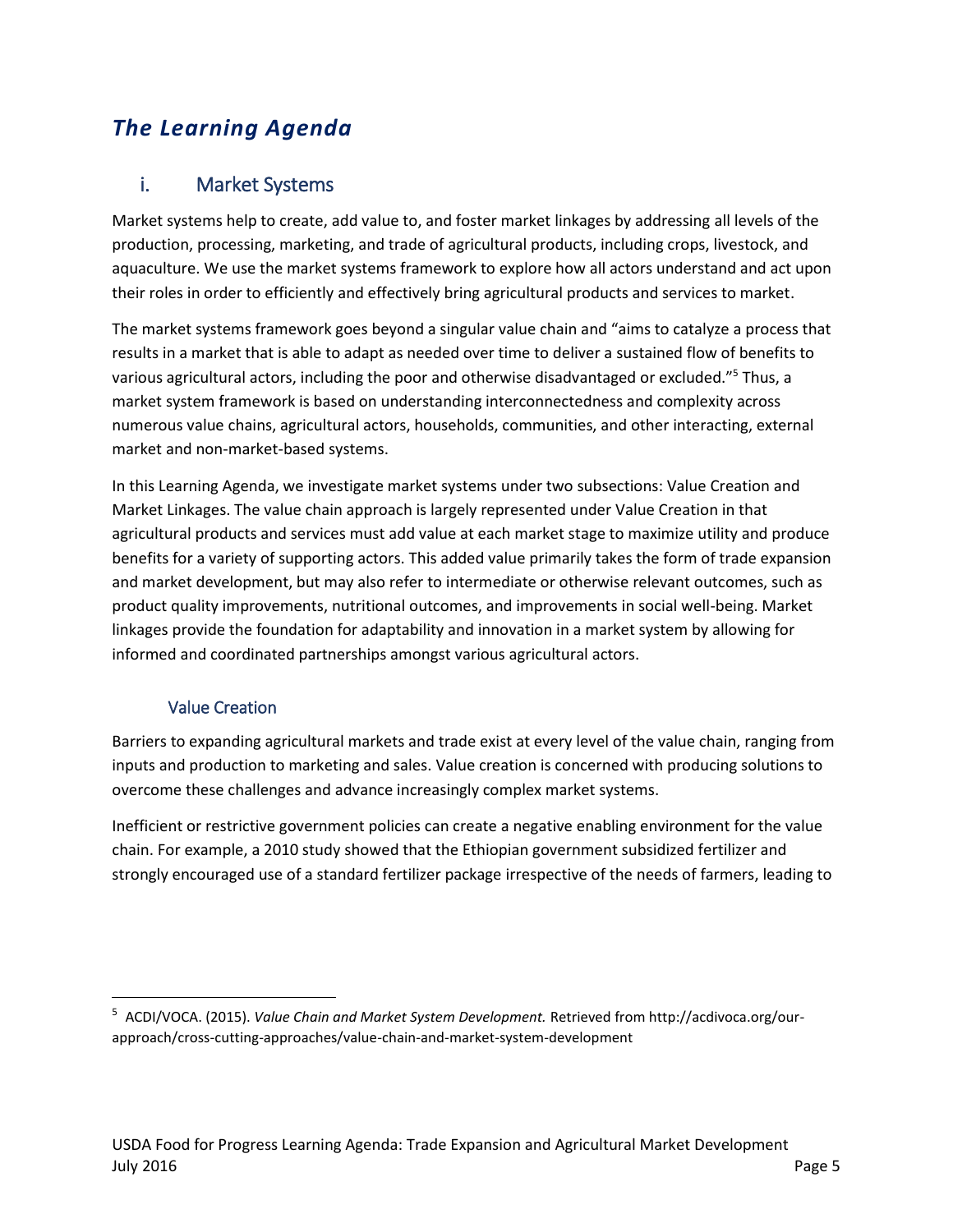# *The Learning Agenda*

### i. Market Systems

Market systems help to create, add value to, and foster market linkages by addressing all levels of the production, processing, marketing, and trade of agricultural products, including crops, livestock, and aquaculture. We use the market systems framework to explore how all actors understand and act upon their roles in order to efficiently and effectively bring agricultural products and services to market.

The market systems framework goes beyond a singular value chain and "aims to catalyze a process that results in a market that is able to adapt as needed over time to deliver a sustained flow of benefits to various agricultural actors, including the poor and otherwise disadvantaged or excluded."<sup>5</sup> Thus, a market system framework is based on understanding interconnectedness and complexity across numerous value chains, agricultural actors, households, communities, and other interacting, external market and non-market-based systems.

In this Learning Agenda, we investigate market systems under two subsections: Value Creation and Market Linkages. The value chain approach is largely represented under Value Creation in that agricultural products and services must add value at each market stage to maximize utility and produce benefits for a variety of supporting actors. This added value primarily takes the form of trade expansion and market development, but may also refer to intermediate or otherwise relevant outcomes, such as product quality improvements, nutritional outcomes, and improvements in social well-being. Market linkages provide the foundation for adaptability and innovation in a market system by allowing for informed and coordinated partnerships amongst various agricultural actors.

#### Value Creation

 $\overline{\phantom{a}}$ 

Barriers to expanding agricultural markets and trade exist at every level of the value chain, ranging from inputs and production to marketing and sales. Value creation is concerned with producing solutions to overcome these challenges and advance increasingly complex market systems.

Inefficient or restrictive government policies can create a negative enabling environment for the value chain. For example, a 2010 study showed that the Ethiopian government subsidized fertilizer and strongly encouraged use of a standard fertilizer package irrespective of the needs of farmers, leading to

<sup>5</sup> ACDI/VOCA. (2015). *Value Chain and Market System Development.* Retrieved from http://acdivoca.org/ourapproach/cross-cutting-approaches/value-chain-and-market-system-development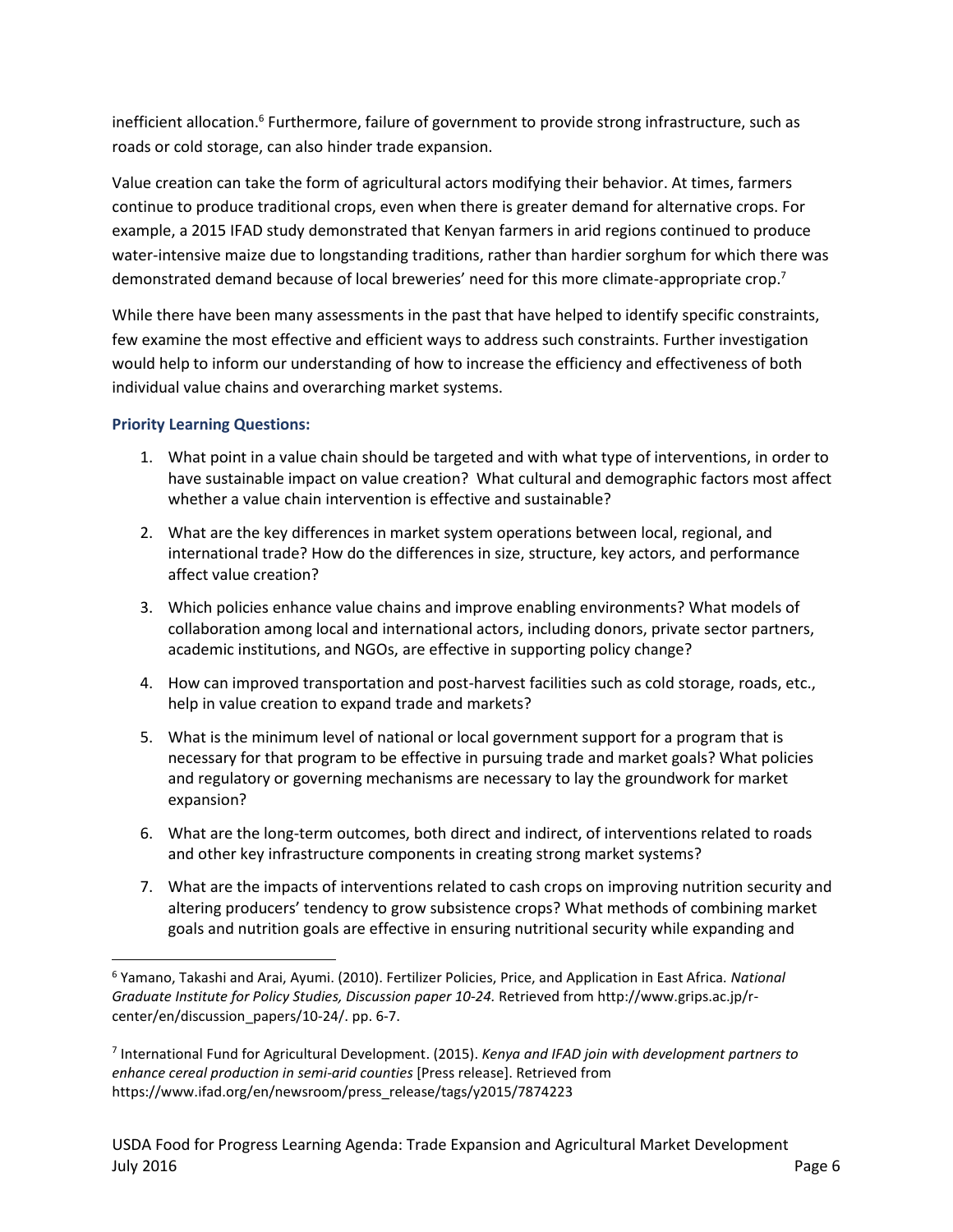inefficient allocation.<sup>6</sup> Furthermore, failure of government to provide strong infrastructure, such as roads or cold storage, can also hinder trade expansion.

Value creation can take the form of agricultural actors modifying their behavior. At times, farmers continue to produce traditional crops, even when there is greater demand for alternative crops. For example, a 2015 IFAD study demonstrated that Kenyan farmers in arid regions continued to produce water-intensive maize due to longstanding traditions, rather than hardier sorghum for which there was demonstrated demand because of local breweries' need for this more climate-appropriate crop.<sup>7</sup>

While there have been many assessments in the past that have helped to identify specific constraints, few examine the most effective and efficient ways to address such constraints. Further investigation would help to inform our understanding of how to increase the efficiency and effectiveness of both individual value chains and overarching market systems.

#### **Priority Learning Questions:**

 $\overline{\phantom{a}}$ 

- 1. What point in a value chain should be targeted and with what type of interventions, in order to have sustainable impact on value creation? What cultural and demographic factors most affect whether a value chain intervention is effective and sustainable?
- 2. What are the key differences in market system operations between local, regional, and international trade? How do the differences in size, structure, key actors, and performance affect value creation?
- 3. Which policies enhance value chains and improve enabling environments? What models of collaboration among local and international actors, including donors, private sector partners, academic institutions, and NGOs, are effective in supporting policy change?
- 4. How can improved transportation and post-harvest facilities such as cold storage, roads, etc., help in value creation to expand trade and markets?
- 5. What is the minimum level of national or local government support for a program that is necessary for that program to be effective in pursuing trade and market goals? What policies and regulatory or governing mechanisms are necessary to lay the groundwork for market expansion?
- 6. What are the long-term outcomes, both direct and indirect, of interventions related to roads and other key infrastructure components in creating strong market systems?
- 7. What are the impacts of interventions related to cash crops on improving nutrition security and altering producers' tendency to grow subsistence crops? What methods of combining market goals and nutrition goals are effective in ensuring nutritional security while expanding and

<sup>6</sup> Yamano, Takashi and Arai, Ayumi. (2010). Fertilizer Policies, Price, and Application in East Africa*. National Graduate Institute for Policy Studies, Discussion paper 10-24.* Retrieved from http://www.grips.ac.jp/rcenter/en/discussion\_papers/10-24/. pp. 6-7.

<sup>7</sup> International Fund for Agricultural Development. (2015). *Kenya and IFAD join with development partners to enhance cereal production in semi-arid counties* [Press release]. Retrieved from https://www.ifad.org/en/newsroom/press\_release/tags/y2015/7874223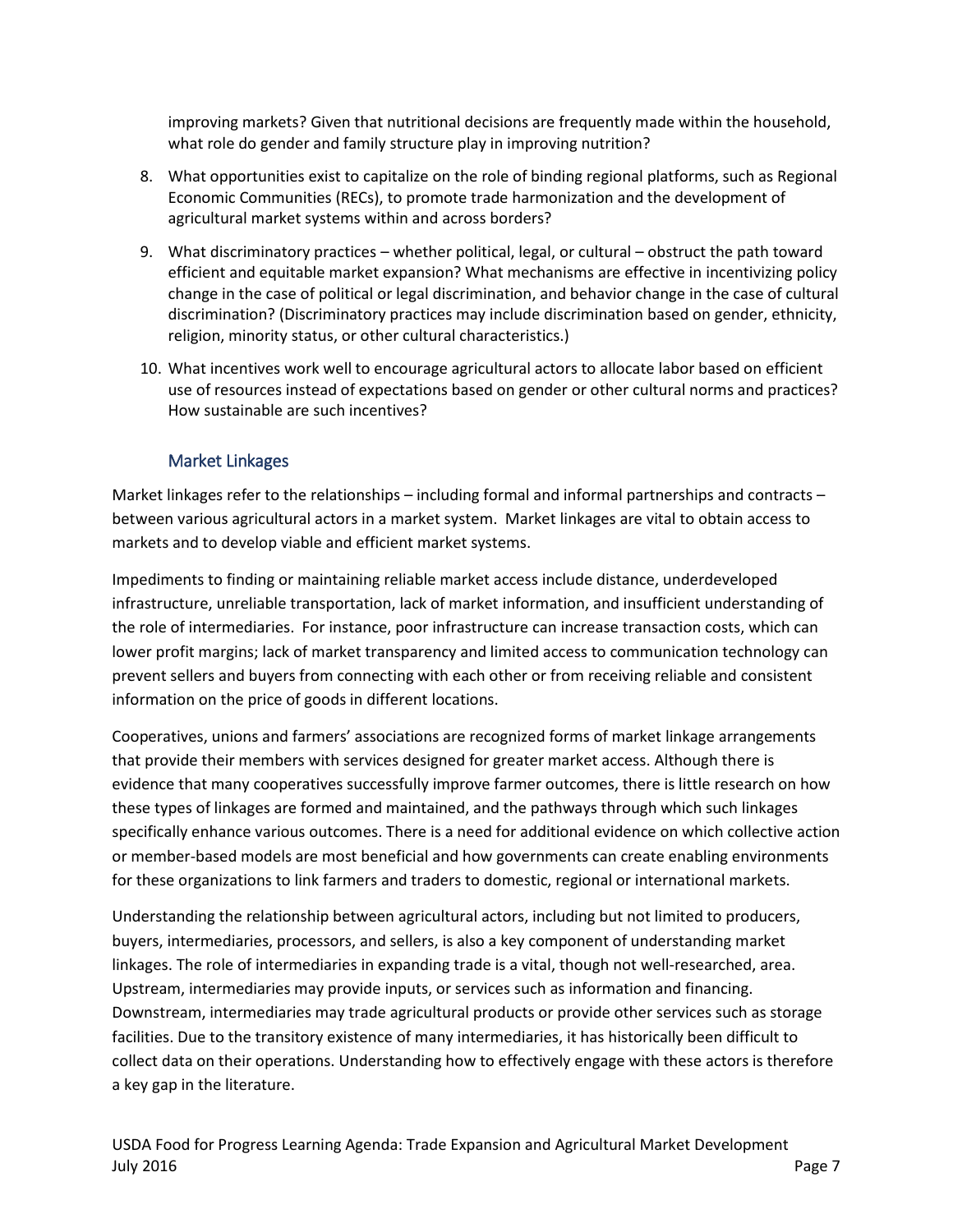improving markets? Given that nutritional decisions are frequently made within the household, what role do gender and family structure play in improving nutrition?

- 8. What opportunities exist to capitalize on the role of binding regional platforms, such as Regional Economic Communities (RECs), to promote trade harmonization and the development of agricultural market systems within and across borders?
- 9. What discriminatory practices whether political, legal, or cultural obstruct the path toward efficient and equitable market expansion? What mechanisms are effective in incentivizing policy change in the case of political or legal discrimination, and behavior change in the case of cultural discrimination? (Discriminatory practices may include discrimination based on gender, ethnicity, religion, minority status, or other cultural characteristics.)
- 10. What incentives work well to encourage agricultural actors to allocate labor based on efficient use of resources instead of expectations based on gender or other cultural norms and practices? How sustainable are such incentives?

#### Market Linkages

Market linkages refer to the relationships – including formal and informal partnerships and contracts – between various agricultural actors in a market system. Market linkages are vital to obtain access to markets and to develop viable and efficient market systems.

Impediments to finding or maintaining reliable market access include distance, underdeveloped infrastructure, unreliable transportation, lack of market information, and insufficient understanding of the role of intermediaries. For instance, poor infrastructure can increase transaction costs, which can lower profit margins; lack of market transparency and limited access to communication technology can prevent sellers and buyers from connecting with each other or from receiving reliable and consistent information on the price of goods in different locations.

Cooperatives, unions and farmers' associations are recognized forms of market linkage arrangements that provide their members with services designed for greater market access. Although there is evidence that many cooperatives successfully improve farmer outcomes, there is little research on how these types of linkages are formed and maintained, and the pathways through which such linkages specifically enhance various outcomes. There is a need for additional evidence on which collective action or member-based models are most beneficial and how governments can create enabling environments for these organizations to link farmers and traders to domestic, regional or international markets.

Understanding the relationship between agricultural actors, including but not limited to producers, buyers, intermediaries, processors, and sellers, is also a key component of understanding market linkages. The role of intermediaries in expanding trade is a vital, though not well-researched, area. Upstream, intermediaries may provide inputs, or services such as information and financing. Downstream, intermediaries may trade agricultural products or provide other services such as storage facilities. Due to the transitory existence of many intermediaries, it has historically been difficult to collect data on their operations. Understanding how to effectively engage with these actors is therefore a key gap in the literature.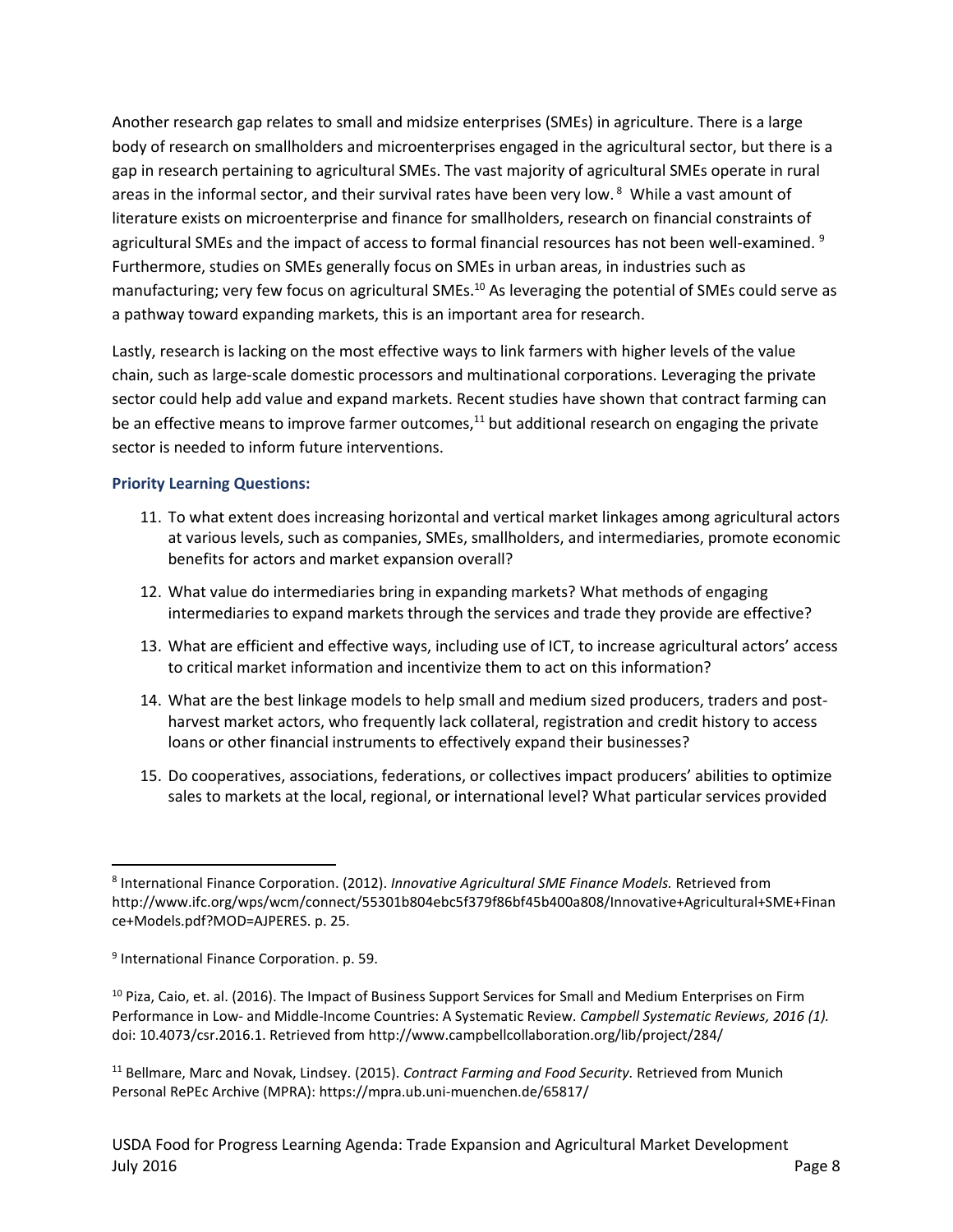Another research gap relates to small and midsize enterprises (SMEs) in agriculture. There is a large body of research on smallholders and microenterprises engaged in the agricultural sector, but there is a gap in research pertaining to agricultural SMEs. The vast majority of agricultural SMEs operate in rural areas in the informal sector, and their survival rates have been very low. <sup>8</sup> While a vast amount of literature exists on microenterprise and finance for smallholders, research on financial constraints of agricultural SMEs and the impact of access to formal financial resources has not been well-examined. <sup>9</sup> Furthermore, studies on SMEs generally focus on SMEs in urban areas, in industries such as manufacturing; very few focus on agricultural SMEs.<sup>10</sup> As leveraging the potential of SMEs could serve as a pathway toward expanding markets, this is an important area for research.

Lastly, research is lacking on the most effective ways to link farmers with higher levels of the value chain, such as large-scale domestic processors and multinational corporations. Leveraging the private sector could help add value and expand markets. Recent studies have shown that contract farming can be an effective means to improve farmer outcomes, $11$  but additional research on engaging the private sector is needed to inform future interventions.

#### **Priority Learning Questions:**

- 11. To what extent does increasing horizontal and vertical market linkages among agricultural actors at various levels, such as companies, SMEs, smallholders, and intermediaries, promote economic benefits for actors and market expansion overall?
- 12. What value do intermediaries bring in expanding markets? What methods of engaging intermediaries to expand markets through the services and trade they provide are effective?
- 13. What are efficient and effective ways, including use of ICT, to increase agricultural actors' access to critical market information and incentivize them to act on this information?
- 14. What are the best linkage models to help small and medium sized producers, traders and postharvest market actors, who frequently lack collateral, registration and credit history to access loans or other financial instruments to effectively expand their businesses?
- 15. Do cooperatives, associations, federations, or collectives impact producers' abilities to optimize sales to markets at the local, regional, or international level? What particular services provided

 $\overline{a}$ 

<sup>11</sup> Bellmare, Marc and Novak, Lindsey. (2015). *Contract Farming and Food Security.* Retrieved from Munich Personal RePEc Archive (MPRA): https://mpra.ub.uni-muenchen.de/65817/

<sup>8</sup> International Finance Corporation. (2012). *Innovative Agricultural SME Finance Models.* Retrieved from http://www.ifc.org/wps/wcm/connect/55301b804ebc5f379f86bf45b400a808/Innovative+Agricultural+SME+Finan ce+Models.pdf?MOD=AJPERES. p. 25.

<sup>9</sup> International Finance Corporation. p. 59.

<sup>&</sup>lt;sup>10</sup> Piza, Caio, et. al. (2016). The Impact of Business Support Services for Small and Medium Enterprises on Firm Performance in Low- and Middle-Income Countries: A Systematic Review. *Campbell Systematic Reviews, 2016 (1).*  doi: 10.4073/csr.2016.1. Retrieved from http://www.campbellcollaboration.org/lib/project/284/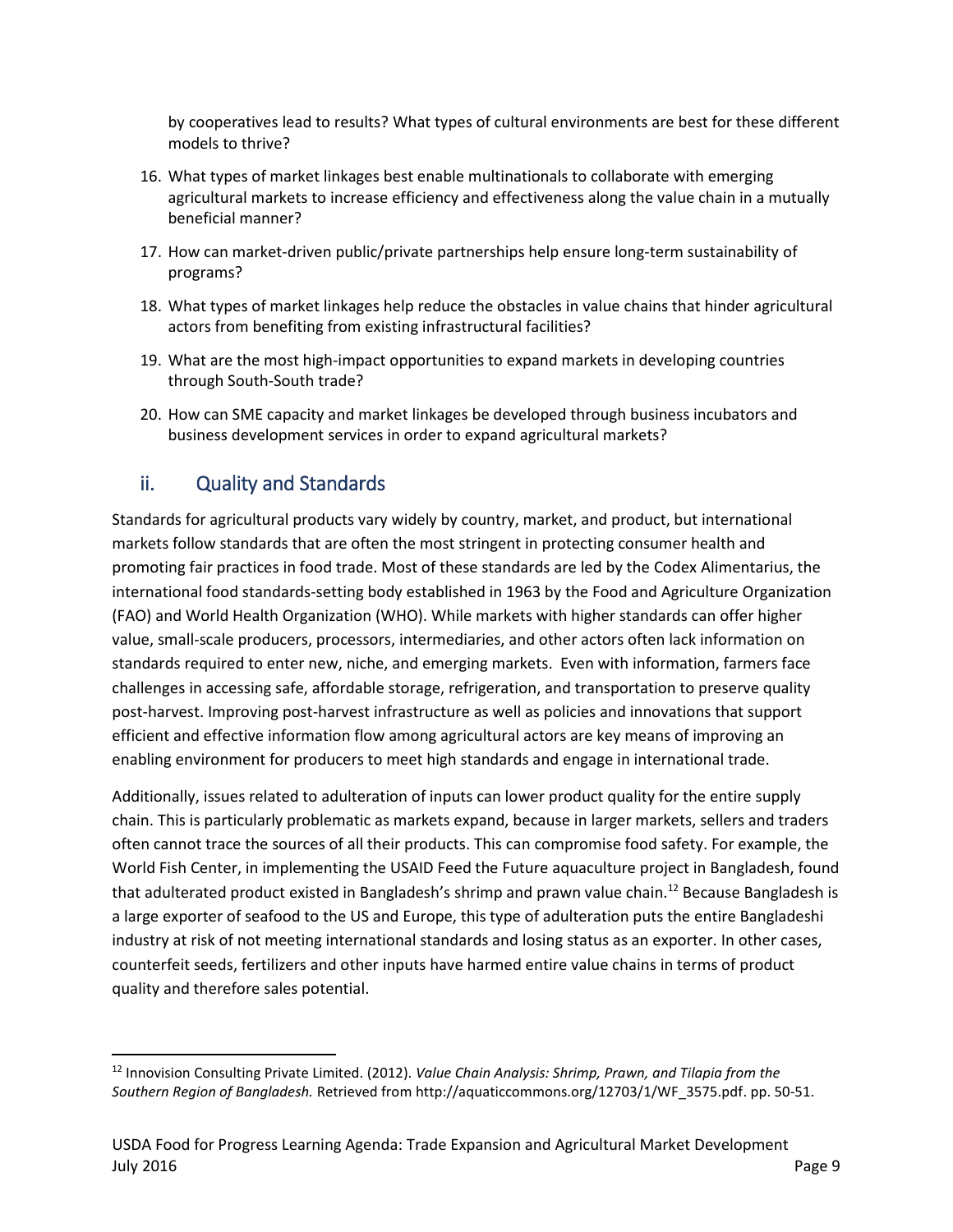by cooperatives lead to results? What types of cultural environments are best for these different models to thrive?

- 16. What types of market linkages best enable multinationals to collaborate with emerging agricultural markets to increase efficiency and effectiveness along the value chain in a mutually beneficial manner?
- 17. How can market-driven public/private partnerships help ensure long-term sustainability of programs?
- 18. What types of market linkages help reduce the obstacles in value chains that hinder agricultural actors from benefiting from existing infrastructural facilities?
- 19. What are the most high-impact opportunities to expand markets in developing countries through South-South trade?
- 20. How can SME capacity and market linkages be developed through business incubators and business development services in order to expand agricultural markets?

### ii. Quality and Standards

 $\overline{\phantom{a}}$ 

Standards for agricultural products vary widely by country, market, and product, but international markets follow standards that are often the most stringent in protecting consumer health and promoting fair practices in food trade. Most of these standards are led by the Codex Alimentarius, the international food standards-setting body established in 1963 by the Food and Agriculture Organization (FAO) and World Health Organization (WHO). While markets with higher standards can offer higher value, small-scale producers, processors, intermediaries, and other actors often lack information on standards required to enter new, niche, and emerging markets. Even with information, farmers face challenges in accessing safe, affordable storage, refrigeration, and transportation to preserve quality post-harvest. Improving post-harvest infrastructure as well as policies and innovations that support efficient and effective information flow among agricultural actors are key means of improving an enabling environment for producers to meet high standards and engage in international trade.

Additionally, issues related to adulteration of inputs can lower product quality for the entire supply chain. This is particularly problematic as markets expand, because in larger markets, sellers and traders often cannot trace the sources of all their products. This can compromise food safety. For example, the World Fish Center, in implementing the USAID Feed the Future aquaculture project in Bangladesh, found that adulterated product existed in Bangladesh's shrimp and prawn value chain.<sup>12</sup> Because Bangladesh is a large exporter of seafood to the US and Europe, this type of adulteration puts the entire Bangladeshi industry at risk of not meeting international standards and losing status as an exporter. In other cases, counterfeit seeds, fertilizers and other inputs have harmed entire value chains in terms of product quality and therefore sales potential.

<sup>12</sup> Innovision Consulting Private Limited. (2012). *Value Chain Analysis: Shrimp, Prawn, and Tilapia from the Southern Region of Bangladesh.* Retrieved from http://aquaticcommons.org/12703/1/WF\_3575.pdf. pp. 50-51.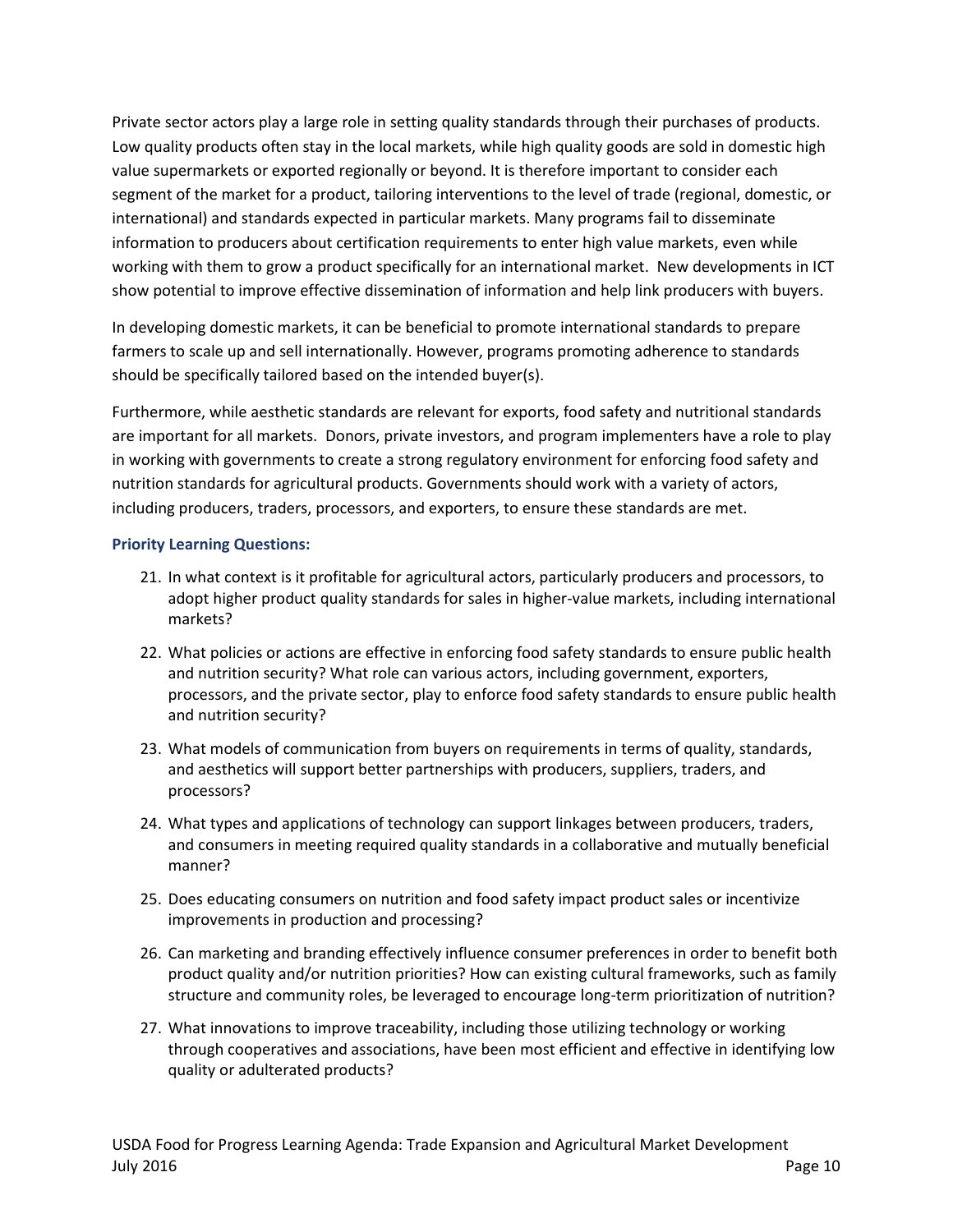Private sector actors play a large role in setting quality standards through their purchases of products. Low quality products often stay in the local markets, while high quality goods are sold in domestic high value supermarkets or exported regionally or beyond. It is therefore important to consider each segment of the market for a product, tailoring interventions to the level of trade (regional, domestic, or international) and standards expected in particular markets. Many programs fail to disseminate information to producers about certification requirements to enter high value markets, even while working with them to grow a product specifically for an international market. New developments in ICT show potential to improve effective dissemination of information and help link producers with buyers.

In developing domestic markets, it can be beneficial to promote international standards to prepare farmers to scale up and sell internationally. However, programs promoting adherence to standards should be specifically tailored based on the intended buyer(s).

Furthermore, while aesthetic standards are relevant for exports, food safety and nutritional standards are important for all markets. Donors, private investors, and program implementers have a role to play in working with governments to create a strong regulatory environment for enforcing food safety and nutrition standards for agricultural products. Governments should work with a variety of actors, including producers, traders, processors, and exporters, to ensure these standards are met.

#### **Priority Learning Questions:**

- 21. In what context is it profitable for agricultural actors, particularly producers and processors, to adopt higher product quality standards for sales in higher-value markets, including international markets?
- 22. What policies or actions are effective in enforcing food safety standards to ensure public health and nutrition security? What role can various actors, including government, exporters, processors, and the private sector, play to enforce food safety standards to ensure public health and nutrition security?
- 23. What models of communication from buyers on requirements in terms of quality, standards, and aesthetics will support better partnerships with producers, suppliers, traders, and processors?
- 24. What types and applications of technology can support linkages between producers, traders, and consumers in meeting required quality standards in a collaborative and mutually beneficial manner?
- 25. Does educating consumers on nutrition and food safety impact product sales or incentivize improvements in production and processing?
- 26. Can marketing and branding effectively influence consumer preferences in order to benefit both product quality and/or nutrition priorities? How can existing cultural frameworks, such as family structure and community roles, be leveraged to encourage long-term prioritization of nutrition?
- 27. What innovations to improve traceability, including those utilizing technology or working through cooperatives and associations, have been most efficient and effective in identifying low quality or adulterated products?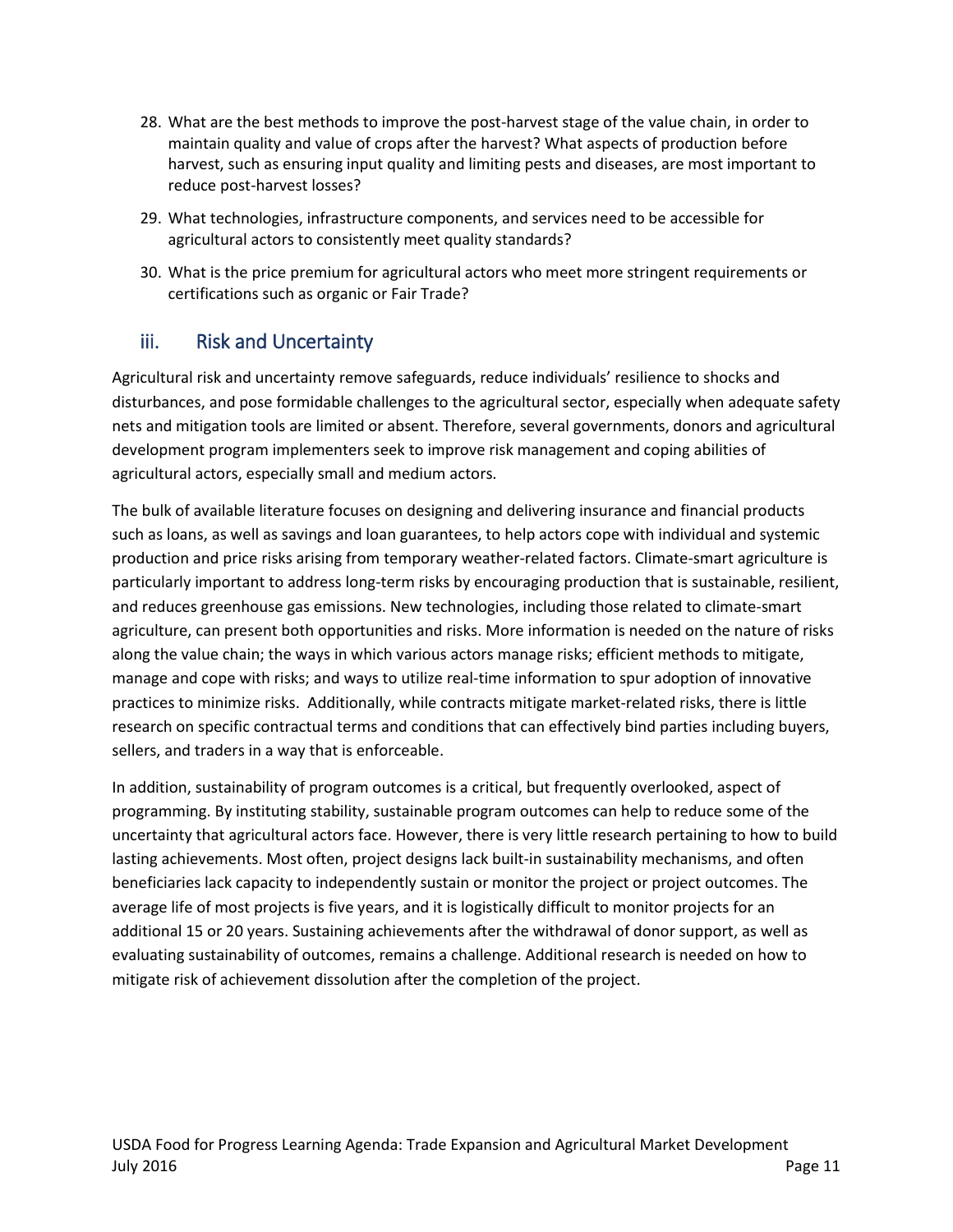- 28. What are the best methods to improve the post-harvest stage of the value chain, in order to maintain quality and value of crops after the harvest? What aspects of production before harvest, such as ensuring input quality and limiting pests and diseases, are most important to reduce post-harvest losses?
- 29. What technologies, infrastructure components, and services need to be accessible for agricultural actors to consistently meet quality standards?
- 30. What is the price premium for agricultural actors who meet more stringent requirements or certifications such as organic or Fair Trade?

## iii. Risk and Uncertainty

Agricultural risk and uncertainty remove safeguards, reduce individuals' resilience to shocks and disturbances, and pose formidable challenges to the agricultural sector, especially when adequate safety nets and mitigation tools are limited or absent. Therefore, several governments, donors and agricultural development program implementers seek to improve risk management and coping abilities of agricultural actors, especially small and medium actors.

The bulk of available literature focuses on designing and delivering insurance and financial products such as loans, as well as savings and loan guarantees, to help actors cope with individual and systemic production and price risks arising from temporary weather-related factors. Climate-smart agriculture is particularly important to address long-term risks by encouraging production that is sustainable, resilient, and reduces greenhouse gas emissions. New technologies, including those related to climate-smart agriculture, can present both opportunities and risks. More information is needed on the nature of risks along the value chain; the ways in which various actors manage risks; efficient methods to mitigate, manage and cope with risks; and ways to utilize real-time information to spur adoption of innovative practices to minimize risks. Additionally, while contracts mitigate market-related risks, there is little research on specific contractual terms and conditions that can effectively bind parties including buyers, sellers, and traders in a way that is enforceable.

In addition, sustainability of program outcomes is a critical, but frequently overlooked, aspect of programming. By instituting stability, sustainable program outcomes can help to reduce some of the uncertainty that agricultural actors face. However, there is very little research pertaining to how to build lasting achievements. Most often, project designs lack built-in sustainability mechanisms, and often beneficiaries lack capacity to independently sustain or monitor the project or project outcomes. The average life of most projects is five years, and it is logistically difficult to monitor projects for an additional 15 or 20 years. Sustaining achievements after the withdrawal of donor support, as well as evaluating sustainability of outcomes, remains a challenge. Additional research is needed on how to mitigate risk of achievement dissolution after the completion of the project.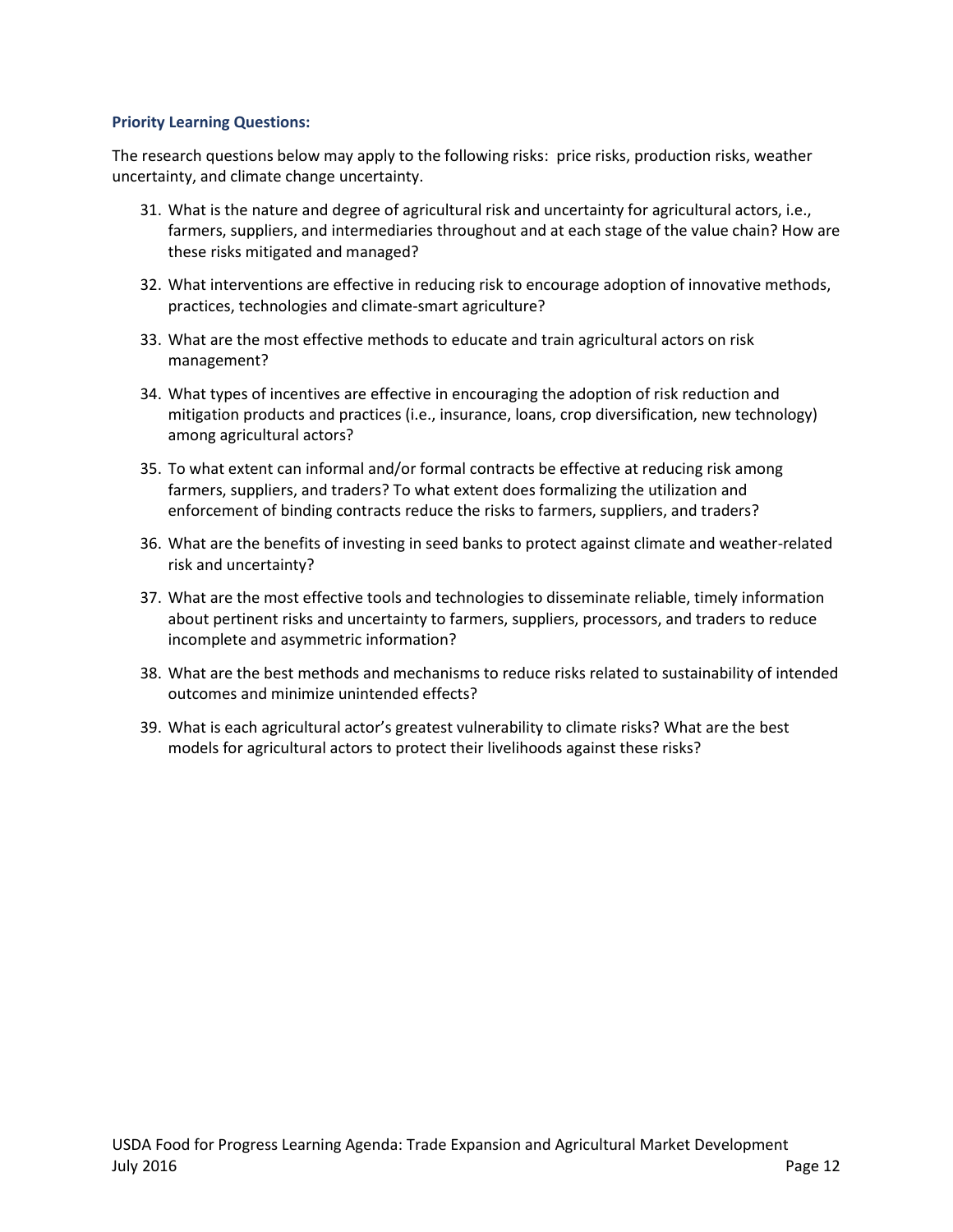#### **Priority Learning Questions:**

The research questions below may apply to the following risks: price risks, production risks, weather uncertainty, and climate change uncertainty.

- 31. What is the nature and degree of agricultural risk and uncertainty for agricultural actors, i.e., farmers, suppliers, and intermediaries throughout and at each stage of the value chain? How are these risks mitigated and managed?
- 32. What interventions are effective in reducing risk to encourage adoption of innovative methods, practices, technologies and climate-smart agriculture?
- 33. What are the most effective methods to educate and train agricultural actors on risk management?
- 34. What types of incentives are effective in encouraging the adoption of risk reduction and mitigation products and practices (i.e., insurance, loans, crop diversification, new technology) among agricultural actors?
- 35. To what extent can informal and/or formal contracts be effective at reducing risk among farmers, suppliers, and traders? To what extent does formalizing the utilization and enforcement of binding contracts reduce the risks to farmers, suppliers, and traders?
- 36. What are the benefits of investing in seed banks to protect against climate and weather-related risk and uncertainty?
- 37. What are the most effective tools and technologies to disseminate reliable, timely information about pertinent risks and uncertainty to farmers, suppliers, processors, and traders to reduce incomplete and asymmetric information?
- 38. What are the best methods and mechanisms to reduce risks related to sustainability of intended outcomes and minimize unintended effects?
- 39. What is each agricultural actor's greatest vulnerability to climate risks? What are the best models for agricultural actors to protect their livelihoods against these risks?